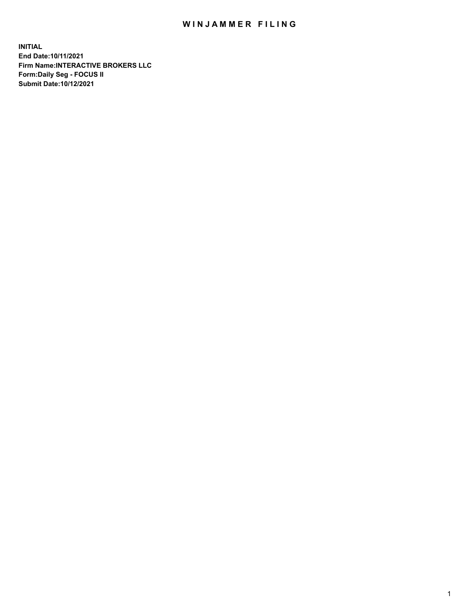## WIN JAMMER FILING

**INITIAL End Date:10/11/2021 Firm Name:INTERACTIVE BROKERS LLC Form:Daily Seg - FOCUS II Submit Date:10/12/2021**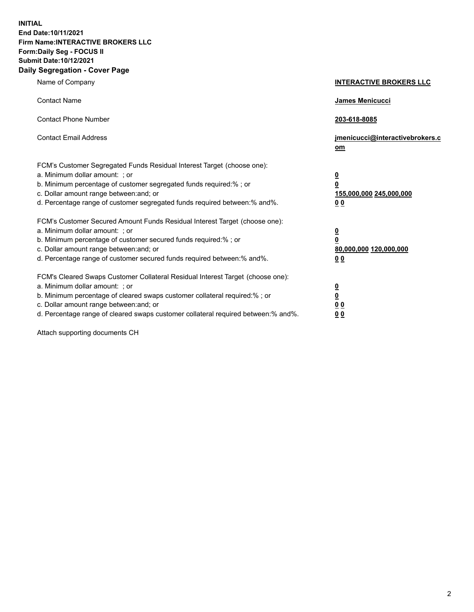**INITIAL End Date:10/11/2021 Firm Name:INTERACTIVE BROKERS LLC Form:Daily Seg - FOCUS II Submit Date:10/12/2021 Daily Segregation - Cover Page**

| Name of Company                                                                                                                                                                                                                                                                                                                | <b>INTERACTIVE BROKERS LLC</b>                                                                           |
|--------------------------------------------------------------------------------------------------------------------------------------------------------------------------------------------------------------------------------------------------------------------------------------------------------------------------------|----------------------------------------------------------------------------------------------------------|
| <b>Contact Name</b>                                                                                                                                                                                                                                                                                                            | James Menicucci                                                                                          |
| <b>Contact Phone Number</b>                                                                                                                                                                                                                                                                                                    | 203-618-8085                                                                                             |
| <b>Contact Email Address</b>                                                                                                                                                                                                                                                                                                   | jmenicucci@interactivebrokers.c<br>om                                                                    |
| FCM's Customer Segregated Funds Residual Interest Target (choose one):<br>a. Minimum dollar amount: ; or<br>b. Minimum percentage of customer segregated funds required:%; or<br>c. Dollar amount range between: and; or<br>d. Percentage range of customer segregated funds required between:% and%.                          | <u>0</u><br>$\overline{\mathbf{0}}$<br>155,000,000 245,000,000<br>0 <sub>0</sub>                         |
| FCM's Customer Secured Amount Funds Residual Interest Target (choose one):<br>a. Minimum dollar amount: ; or<br>b. Minimum percentage of customer secured funds required:%; or<br>c. Dollar amount range between: and; or<br>d. Percentage range of customer secured funds required between:% and%.                            | <u>0</u><br>$\overline{\mathbf{0}}$<br>80,000,000 120,000,000<br><u>00</u>                               |
| FCM's Cleared Swaps Customer Collateral Residual Interest Target (choose one):<br>a. Minimum dollar amount: ; or<br>b. Minimum percentage of cleared swaps customer collateral required:% ; or<br>c. Dollar amount range between: and; or<br>d. Percentage range of cleared swaps customer collateral required between:% and%. | $\overline{\mathbf{0}}$<br>$\underline{\mathbf{0}}$<br>$\underline{0}$ $\underline{0}$<br>0 <sub>0</sub> |

Attach supporting documents CH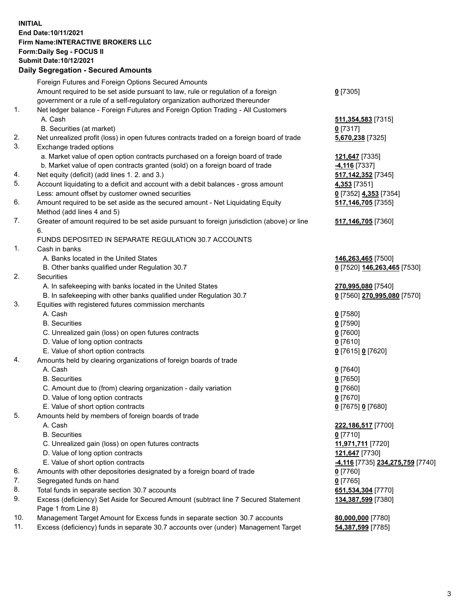## **INITIAL End Date:10/11/2021 Firm Name:INTERACTIVE BROKERS LLC Form:Daily Seg - FOCUS II Submit Date:10/12/2021 Daily Segregation - Secured Amounts**

|                | Daily Ocglegation - Occuled Anioants                                                              |                                 |
|----------------|---------------------------------------------------------------------------------------------------|---------------------------------|
|                | Foreign Futures and Foreign Options Secured Amounts                                               |                                 |
|                | Amount required to be set aside pursuant to law, rule or regulation of a foreign                  | $0$ [7305]                      |
|                | government or a rule of a self-regulatory organization authorized thereunder                      |                                 |
| $\mathbf{1}$ . | Net ledger balance - Foreign Futures and Foreign Option Trading - All Customers                   |                                 |
|                | A. Cash                                                                                           | 511, 354, 583 [7315]            |
|                | B. Securities (at market)                                                                         | $0$ [7317]                      |
| 2.             | Net unrealized profit (loss) in open futures contracts traded on a foreign board of trade         | 5,670,238 [7325]                |
| 3.             | Exchange traded options                                                                           |                                 |
|                | a. Market value of open option contracts purchased on a foreign board of trade                    | 121,647 [7335]                  |
|                | b. Market value of open contracts granted (sold) on a foreign board of trade                      | 4,116 [7337]                    |
| 4.             | Net equity (deficit) (add lines 1. 2. and 3.)                                                     | 517, 142, 352 [7345]            |
| 5.             | Account liquidating to a deficit and account with a debit balances - gross amount                 | 4,353 [7351]                    |
|                | Less: amount offset by customer owned securities                                                  | 0 [7352] 4,353 [7354]           |
| 6.             | Amount required to be set aside as the secured amount - Net Liquidating Equity                    | 517,146,705 [7355]              |
|                | Method (add lines 4 and 5)                                                                        |                                 |
| 7.             | Greater of amount required to be set aside pursuant to foreign jurisdiction (above) or line<br>6. | 517,146,705 [7360]              |
|                | FUNDS DEPOSITED IN SEPARATE REGULATION 30.7 ACCOUNTS                                              |                                 |
| 1.             | Cash in banks                                                                                     |                                 |
|                | A. Banks located in the United States                                                             | 146,263,465 [7500]              |
|                | B. Other banks qualified under Regulation 30.7                                                    | 0 [7520] 146,263,465 [7530]     |
| 2.             | <b>Securities</b>                                                                                 |                                 |
|                | A. In safekeeping with banks located in the United States                                         | 270,995,080 [7540]              |
|                | B. In safekeeping with other banks qualified under Regulation 30.7                                | 0 [7560] 270,995,080 [7570]     |
| 3.             | Equities with registered futures commission merchants                                             |                                 |
|                | A. Cash                                                                                           | $0$ [7580]                      |
|                | <b>B.</b> Securities                                                                              | $0$ [7590]                      |
|                | C. Unrealized gain (loss) on open futures contracts                                               | $0$ [7600]                      |
|                | D. Value of long option contracts                                                                 | $0$ [7610]                      |
|                | E. Value of short option contracts                                                                | 0 [7615] 0 [7620]               |
| 4.             | Amounts held by clearing organizations of foreign boards of trade                                 |                                 |
|                | A. Cash                                                                                           | $0$ [7640]                      |
|                | <b>B.</b> Securities                                                                              | $0$ [7650]                      |
|                | C. Amount due to (from) clearing organization - daily variation                                   | $0$ [7660]                      |
|                | D. Value of long option contracts                                                                 | $0$ [7670]                      |
|                | E. Value of short option contracts                                                                | 0 [7675] 0 [7680]               |
| 5.             | Amounts held by members of foreign boards of trade                                                |                                 |
|                | A. Cash                                                                                           | 222,186,517 [7700]              |
|                | <b>B.</b> Securities                                                                              | $0$ [7710]                      |
|                | C. Unrealized gain (loss) on open futures contracts                                               | 11,971,711 [7720]               |
|                | D. Value of long option contracts                                                                 | 121,647 [7730]                  |
|                | E. Value of short option contracts                                                                | 4,116 [7735] 234,275,759 [7740] |
| 6.             | Amounts with other depositories designated by a foreign board of trade                            | $0$ [7760]                      |
| 7.             | Segregated funds on hand                                                                          | $0$ [7765]                      |
| 8.             | Total funds in separate section 30.7 accounts                                                     | 651,534,304 [7770]              |
| 9.             | Excess (deficiency) Set Aside for Secured Amount (subtract line 7 Secured Statement               | 134,387,599 [7380]              |
|                | Page 1 from Line 8)                                                                               |                                 |
| 10.            | Management Target Amount for Excess funds in separate section 30.7 accounts                       | 80,000,000 [7780]               |
| 11.            | Excess (deficiency) funds in separate 30.7 accounts over (under) Management Target                | 54,387,599 [7785]               |
|                |                                                                                                   |                                 |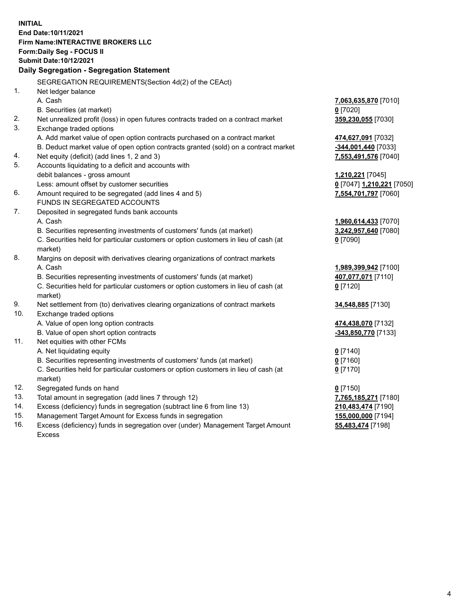**INITIAL End Date:10/11/2021 Firm Name:INTERACTIVE BROKERS LLC Form:Daily Seg - FOCUS II Submit Date:10/12/2021 Daily Segregation - Segregation Statement** SEGREGATION REQUIREMENTS(Section 4d(2) of the CEAct) 1. Net ledger balance A. Cash **7,063,635,870** [7010] B. Securities (at market) **0** [7020] 2. Net unrealized profit (loss) in open futures contracts traded on a contract market **359,230,055** [7030] 3. Exchange traded options A. Add market value of open option contracts purchased on a contract market **474,627,091** [7032] B. Deduct market value of open option contracts granted (sold) on a contract market **-344,001,440** [7033] 4. Net equity (deficit) (add lines 1, 2 and 3) **7,553,491,576** [7040] 5. Accounts liquidating to a deficit and accounts with debit balances - gross amount **1,210,221** [7045] Less: amount offset by customer securities **0** [7047] **1,210,221** [7050] 6. Amount required to be segregated (add lines 4 and 5) **7,554,701,797** [7060] FUNDS IN SEGREGATED ACCOUNTS 7. Deposited in segregated funds bank accounts A. Cash **1,960,614,433** [7070] B. Securities representing investments of customers' funds (at market) **3,242,957,640** [7080] C. Securities held for particular customers or option customers in lieu of cash (at market) **0** [7090] 8. Margins on deposit with derivatives clearing organizations of contract markets A. Cash **1,989,399,942** [7100] B. Securities representing investments of customers' funds (at market) **407,077,071** [7110] C. Securities held for particular customers or option customers in lieu of cash (at market) **0** [7120] 9. Net settlement from (to) derivatives clearing organizations of contract markets **34,548,885** [7130] 10. Exchange traded options A. Value of open long option contracts **474,438,070** [7132] B. Value of open short option contracts **-343,850,770** [7133] 11. Net equities with other FCMs A. Net liquidating equity **0** [7140] B. Securities representing investments of customers' funds (at market) **0** [7160] C. Securities held for particular customers or option customers in lieu of cash (at market) **0** [7170] 12. Segregated funds on hand **0** [7150] 13. Total amount in segregation (add lines 7 through 12) **7,765,185,271** [7180] 14. Excess (deficiency) funds in segregation (subtract line 6 from line 13) **210,483,474** [7190] 15. Management Target Amount for Excess funds in segregation **155,000,000** [7194]

16. Excess (deficiency) funds in segregation over (under) Management Target Amount Excess

**55,483,474** [7198]